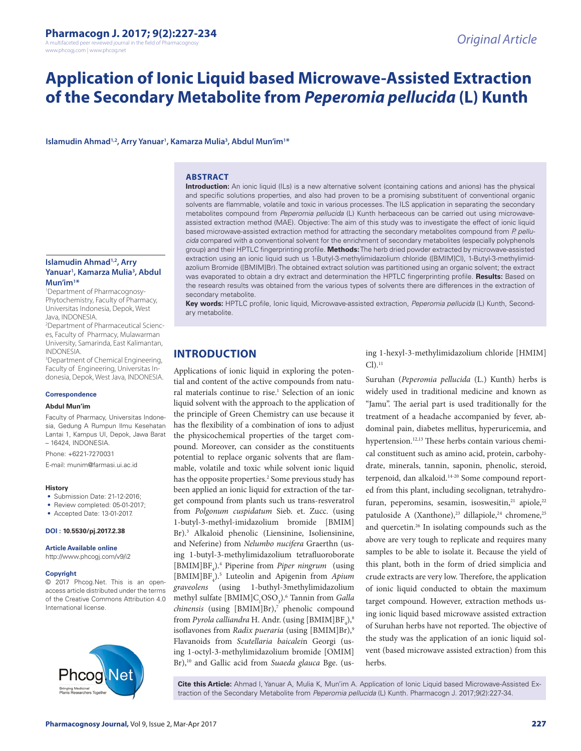A multifaceted peer reviewed journal in the field of Pharmacog www.phcogj.com | www.phcog.net

# **Application of Ionic Liquid based Microwave-Assisted Extraction of the Secondary Metabolite from** *Peperomia pellucida* **(L) Kunth**

Islamudin Ahmad<sup>1,2</sup>, Arry Yanuar<sup>1</sup>, Kamarza Mulia<sup>3</sup>, Abdul Mun'im<sup>1\*</sup>

### **ABSTRACT**

**Islamudin Ahmad1,2, Arry Yanuar1 , Kamarza Mulia3 , Abdul Mun'im1 \***

1 Department of Pharmacognosy-Phytochemistry, Faculty of Pharmacy, Universitas Indonesia, Depok, West Java, INDONESIA.

2 Department of Pharmaceutical Sciences, Faculty of Pharmacy, Mulawarman University, Samarinda, East Kalimantan, INDONESIA.

<sup>3</sup>Department of Chemical Engineering, Faculty of Engineering, Universitas Indonesia, Depok, West Java, INDONESIA.

#### **Correspondence**

#### **Abdul Mun'im**

Faculty of Pharmacy, Universitas Indonesia, Gedung A Rumpun Ilmu Kesehatan Lantai 1, Kampus UI, Depok, Jawa Barat – 16424, INDONESIA.

Phone: +6221-7270031

E-mail: munim@farmasi.ui.ac.id

#### **History**

- Submission Date: 21-12-2016:
- Review completed: 05-01-2017;

• Accepted Date: 13-01-2017.

# **DOI : 10.5530/pj.2017.2.38**

**Article Available online** 

http://www.phcogj.com/v9/i2

#### **Copyright**

© 2017 Phcog.Net. This is an openaccess article distributed under the terms of the Creative Commons Attribution 4.0 International license.



**Introduction:** An ionic liquid (ILs) is a new alternative solvent (containing cations and anions) has the physical and specific solutions properties, and also had proven to be a promising substituent of conventional organic solvents are flammable, volatile and toxic in various processes. The ILS application in separating the secondary metabolites compound from *Peperomia pellucida* (L) Kunth herbaceous can be carried out using microwaveassisted extraction method (MAE). Objective: The aim of this study was to investigate the effect of ionic liquid based microwave-assisted extraction method for attracting the secondary metabolites compound from *P. pellucida* compared with a conventional solvent for the enrichment of secondary metabolites (especially polyphenols group) and their HPTLC fingerprinting profile. **Methods:** The herb dried powder extracted by microwave-assisted extraction using an ionic liquid such us 1-Butyl-3-methylimidazolium chloride ([BMIM]Cl), 1-Butyl-3-methylimidazolium Bromide ([BMIM]Br). The obtained extract solution was partitioned using an organic solvent; the extract was evaporated to obtain a dry extract and determination the HPTLC fingerprinting profile. **Results:** Based on the research results was obtained from the various types of solvents there are differences in the extraction of secondary metabolite.

**Key words:** HPTLC profile, Ionic liquid, Microwave-assisted extraction, *Peperomia pellucida* (L) Kunth, Secondary metabolite.

# **INTRODUCTION**

Applications of ionic liquid in exploring the potential and content of the active compounds from natural materials continue to rise.<sup>1</sup> Selection of an ionic liquid solvent with the approach to the application of the principle of Green Chemistry can use because it has the flexibility of a combination of ions to adjust the physicochemical properties of the target compound. Moreover, can consider as the constituents potential to replace organic solvents that are flammable, volatile and toxic while solvent ionic liquid has the opposite properties.<sup>2</sup> Some previous study has been applied an ionic liquid for extraction of the target compound from plants such us trans-resveratrol from *Polgonum cuspidatum* Sieb. et. Zucc. (using 1-butyl-3-methyl-imidazolium bromide [BMIM] Br).3 Alkaloid phenolic (Liensinine, Isoliensinine, and Neferine) from *Nelumbo nucifera* Graerthn (using 1-butyl-3-methylimidazolium tetrafluoroborate [BMIM]BF<sub>4</sub>).<sup>4</sup> Piperine from *Piper ningrum* (using [BMIM]BF<sub>4</sub>).<sup>5</sup> Luteolin and Apigenin from *Apium graveolens* (using 1-buthyl-3methylimidazolium methyl sulfate [BMIM]C<sub>1</sub>OSO<sub>3</sub>).<sup>6</sup> Tannin from *Galla* chinensis (using [BMIM]Br),<sup>7</sup> phenolic compound from *Pyrola calliandra* H. Andr. (using [BMIM]BF<sub>4</sub>),<sup>8</sup> isoflavones from *Radix pueraria* (using [BMIM]Br),<sup>9</sup> Flavanoids from *Scutellaria baicalei*n Georgi (using 1-octyl-3-methylimidazolium bromide [OMIM] Br),10 and Gallic acid from *Suaeda glauca* Bge. (using 1-hexyl-3-methylimidazolium chloride [HMIM]  $Cl$ ).<sup>11</sup>

Suruhan (*Peperomia pellucida* (L.) Kunth) herbs is widely used in traditional medicine and known as "Jamu". The aerial part is used traditionally for the treatment of a headache accompanied by fever, abdominal pain, diabetes mellitus, hyperuricemia, and hypertension.<sup>12,13</sup> These herbs contain various chemical constituent such as amino acid, protein, carbohydrate, minerals, tannin, saponin, phenolic, steroid, terpenoid, dan alkaloid.14-20 Some compound reported from this plant, including secolignan, tetrahydrofuran, peperomins, sesamin, isoswesitin,<sup>21</sup> apiole,<sup>22</sup> patuloside A (Xanthone),<sup>23</sup> dillapiole,<sup>24</sup> chromene,<sup>25</sup> and quercetin.26 In isolating compounds such as the above are very tough to replicate and requires many samples to be able to isolate it. Because the yield of this plant, both in the form of dried simplicia and crude extracts are very low. Therefore, the application of ionic liquid conducted to obtain the maximum target compound. However, extraction methods using ionic liquid based microwave assisted extraction of Suruhan herbs have not reported. The objective of the study was the application of an ionic liquid solvent (based microwave assisted extraction) from this herbs.

**Cite this Article:** Ahmad I, Yanuar A, Mulia K, Mun'im A. Application of Ionic Liquid based Microwave-Assisted Extraction of the Secondary Metabolite from *Peperomia pellucida* (L) Kunth. Pharmacogn J. 2017;9(2):227-34.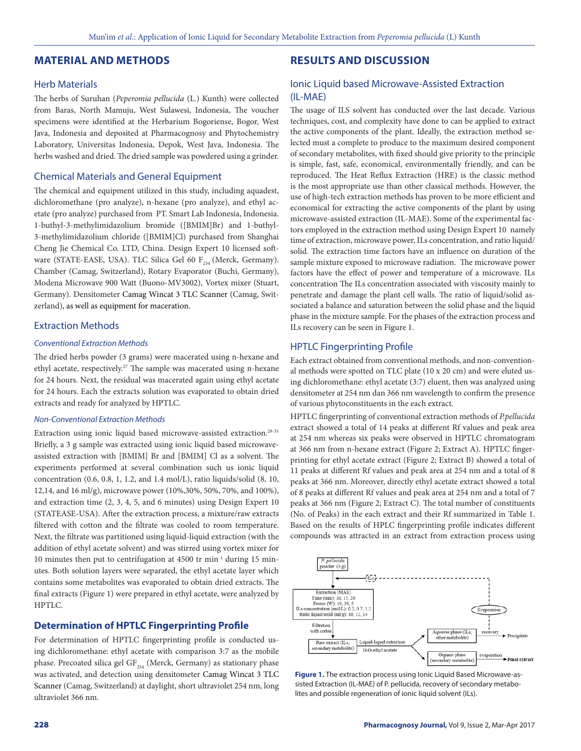### **MATERIAL AND METHODS**

### Herb Materials

The herbs of Suruhan (*Peperomia pellucida* (L.) Kunth) were collected from Baras, North Mamuju, West Sulawesi, Indonesia, The voucher specimens were identified at the Herbarium Bogoriense, Bogor, West Java, Indonesia and deposited at Pharmacognosy and Phytochemistry Laboratory, Universitas Indonesia, Depok, West Java, Indonesia. The herbs washed and dried. The dried sample was powdered using a grinder.

# Chemical Materials and General Equipment

The chemical and equipment utilized in this study, including aquadest, dichloromethane (pro analyze), n-hexane (pro analyze), and ethyl acetate (pro analyze) purchased from PT. Smart Lab Indonesia, Indonesia. 1-buthyl-3-methylimidazolium bromide ([BMIM]Br) and 1-buthyl-3-methylimidazolium chloride ([BMIM]Cl) purchased from Shanghai Cheng Jie Chemical Co. LTD, China. Design Expert 10 licensed software (STATE-EASE, USA). TLC Silica Gel 60  $F_{254}$  (Merck, Germany). Chamber (Camag, Switzerland), Rotary Evaporator (Buchi, Germany), Modena Microwave 900 Watt (Buono-MV3002), Vortex mixer (Stuart, Germany). Densitometer Camag Wincat 3 TLC Scanner (Camag, Switzerland), as well as equipment for maceration.

## Extraction Methods

### *Conventional Extraction Methods*

The dried herbs powder (3 grams) were macerated using n-hexane and ethyl acetate, respectively.27 The sample was macerated using n-hexane for 24 hours. Next, the residual was macerated again using ethyl acetate for 24 hours. Each the extracts solution was evaporated to obtain dried extracts and ready for analyzed by HPTLC.

#### *Non-Conventional Extraction Methods*

Extraction using ionic liquid based microwave-assisted extraction.<sup>28-31</sup> Briefly, a 3 g sample was extracted using ionic liquid based microwaveassisted extraction with [BMIM] Br and [BMIM] Cl as a solvent. The experiments performed at several combination such us ionic liquid concentration (0.6, 0.8, 1, 1.2, and 1.4 mol/L), ratio liquids/solid (8, 10, 12,14, and 16 ml/g), microwave power (10%,30%, 50%, 70%, and 100%), and extraction time (2, 3, 4, 5, and 6 minutes) using Design Expert 10 (STATEASE-USA). After the extraction process, a mixture/raw extracts filtered with cotton and the filtrate was cooled to room temperature. Next, the filtrate was partitioned using liquid-liquid extraction (with the addition of ethyl acetate solvent) and was stirred using vortex mixer for 10 minutes then put to centrifugation at 4500 tr min-1 during 15 minutes. Both solution layers were separated, the ethyl acetate layer which contains some metabolites was evaporated to obtain dried extracts. The final extracts (Figure 1) were prepared in ethyl acetate, were analyzed by HPTLC.

# **Determination of HPTLC Fingerprinting Profile**

For determination of HPTLC fingerprinting profile is conducted using dichloromethane: ethyl acetate with comparison 3:7 as the mobile phase. Precoated silica gel  $GF_{254}$  (Merck, Germany) as stationary phase was activated, and detection using densitometer Camag Wincat 3 TLC Scanner (Camag, Switzerland) at daylight, short ultraviolet 254 nm, long ultraviolet 366 nm.

# **RESULTS AND DISCUSSION**

# Ionic Liquid based Microwave-Assisted Extraction (IL-MAE)

The usage of ILS solvent has conducted over the last decade. Various techniques, cost, and complexity have done to can be applied to extract the active components of the plant. Ideally, the extraction method selected must a complete to produce to the maximum desired component of secondary metabolites, with fixed should give priority to the principle is simple, fast, safe, economical, environmentally friendly, and can be reproduced. The Heat Reflux Extraction (HRE) is the classic method is the most appropriate use than other classical methods. However, the use of high-tech extraction methods has proven to be more efficient and economical for extracting the active components of the plant by using microwave-assisted extraction (IL-MAE). Some of the experimental factors employed in the extraction method using Design Expert 10 namely time of extraction, microwave power, ILs concentration, and ratio liquid/ solid. The extraction time factors have an influence on duration of the sample mixture exposed to microwave radiation. The microwave power factors have the effect of power and temperature of a microwave. ILs concentration The ILs concentration associated with viscosity mainly to penetrate and damage the plant cell walls. The ratio of liquid/solid associated a balance and saturation between the solid phase and the liquid phase in the mixture sample. For the phases of the extraction process and ILs recovery can be seen in Figure 1.

### HPTLC Fingerprinting Profile

Each extract obtained from conventional methods, and non-conventional methods were spotted on TLC plate (10 x 20 cm) and were eluted using dichloromethane: ethyl acetate (3:7) eluent, then was analyzed using densitometer at 254 nm dan 366 nm wavelength to confirm the presence of various phytoconstituents in the each extract.

HPTLC fingerprinting of conventional extraction methods of *P.pellucida* extract showed a total of 14 peaks at different Rf values and peak area at 254 nm whereas six peaks were observed in HPTLC chromatogram at 366 nm from n-hexane extract (Figure 2; Extract A). HPTLC fingerprinting for ethyl acetate extract (Figure 2; Extract B) showed a total of 11 peaks at different Rf values and peak area at 254 nm and a total of 8 peaks at 366 nm. Moreover, directly ethyl acetate extract showed a total of 8 peaks at different Rf values and peak area at 254 nm and a total of 7 peaks at 366 nm (Figure 2; Extract C). The total number of constituents (No. of Peaks) in the each extract and their Rf summarized in Table 1. Based on the results of HPLC fingerprinting profile indicates different compounds was attracted in an extract from extraction process using



**Figure 1.** The extraction process using Ionic Liquid Based Microwave-assisted Extraction (IL-MAE) of P. pellucida, recovery of secondary metabolites and possible regeneration of ionic liquid solvent (ILs).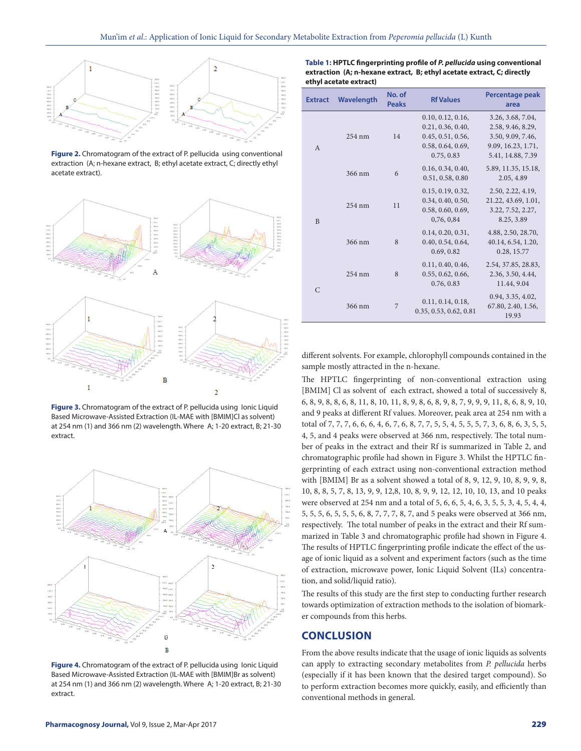

**Figure 2.** Chromatogram of the extract of P. pellucida using conventional extraction (A; n-hexane extract, B; ethyl acetate extract, C; directly ethyl acetate extract).



Figure 3. Chromatogram of the extract of P. pellucida using lonic Liquid Based Microwave-Assisted Extraction (IL-MAE with [BMIM]Cl as solvent) at 254 nm (1) and 366 nm (2) wavelength. Where A; 1-20 extract, B; 21-30 extract.



Figure 4. Chromatogram of the extract of P. pellucida using lonic Liquid Based Microwave-Assisted Extraction (IL-MAE with [BMIM]Br as solvent) at 254 nm (1) and 366 nm (2) wavelength. Where A; 1-20 extract, B; 21-30 extract.

| <b>Extract</b> | Wavelength       | No. of<br><b>Peaks</b> | <b>Rf Values</b>                                                                               | Percentage peak<br>area                                                                                |
|----------------|------------------|------------------------|------------------------------------------------------------------------------------------------|--------------------------------------------------------------------------------------------------------|
| $\mathsf{A}$   | 254 nm           | 14                     | 0.10, 0.12, 0.16,<br>0.21, 0.36, 0.40,<br>0.45, 0.51, 0.56,<br>0.58, 0.64, 0.69,<br>0.75, 0.83 | 3.26, 3.68, 7.04,<br>2.58, 9.46, 8.29,<br>3.50, 9.09, 7.46,<br>9.09, 16.23, 1.71,<br>5.41, 14.88, 7.39 |
|                | 366 nm           | 6                      | 0.16, 0.34, 0.40,<br>0.51, 0.58, 0.80                                                          | 5.89, 11.35, 15.18,<br>2.05, 4.89                                                                      |
| B              | $254 \text{ nm}$ | 11                     | 0.15, 0.19, 0.32,<br>0.34, 0.40, 0.50,<br>0.58, 0.60, 0.69,<br>0,76,0,84                       | 2.50, 2.22, 4.19,<br>21.22, 43.69, 1.01,<br>3.22, 7.52, 2.27,<br>8.25, 3.89                            |
|                | 366 nm           | 8                      | 0.14, 0.20, 0.31,<br>0.40, 0.54, 0.64,<br>0.69, 0.82                                           | 4.88, 2.50, 28.70,<br>40.14, 6.54, 1.20,<br>0.28, 15.77                                                |
| $\mathcal{C}$  | 254 nm           | 8                      | 0.11, 0.40, 0.46,<br>0.55, 0.62, 0.66,<br>0.76, 0.83                                           | 2.54, 37.85, 28.83,<br>2.36, 3.50, 4.44,<br>11.44, 9.04                                                |
|                | 366 nm           | 7                      | 0.11, 0.14, 0.18,<br>0.35, 0.53, 0.62, 0.81                                                    | 0.94, 3.35, 4.02,<br>67.80, 2.40, 1.56,<br>19.93                                                       |

**Table 1: HPTLC fingerprinting profile of** *P. pellucida* **using conventional extraction (A; n-hexane extract, B; ethyl acetate extract, C; directly ethyl acetate extract)**

different solvents. For example, chlorophyll compounds contained in the sample mostly attracted in the n-hexane.

The HPTLC fingerprinting of non-conventional extraction using [BMIM] Cl as solvent of each extract, showed a total of successively 8, 6, 8, 9, 8, 8, 6, 8, 11, 8, 10, 11, 8, 9, 8, 6, 8, 9, 8, 7, 9, 9, 9, 11, 8, 6, 8, 9, 10, and 9 peaks at different Rf values. Moreover, peak area at 254 nm with a total of 7, 7, 7, 6, 6, 6, 4, 6, 7, 6, 8, 7, 7, 5, 5, 4, 5, 5, 5, 7, 3, 6, 8, 6, 3, 5, 5, 4, 5, and 4 peaks were observed at 366 nm, respectively. The total number of peaks in the extract and their Rf is summarized in Table 2, and chromatographic profile had shown in Figure 3. Whilst the HPTLC fingerprinting of each extract using non-conventional extraction method with [BMIM] Br as a solvent showed a total of 8, 9, 12, 9, 10, 8, 9, 9, 8, 10, 8, 8, 5, 7, 8, 13, 9, 9, 12,8, 10, 8, 9, 9, 12, 12, 10, 10, 13, and 10 peaks were observed at 254 nm and a total of 5, 6, 6, 5, 4, 6, 3, 5, 5, 3, 4, 5, 4, 4, 5, 5, 5, 6, 5, 5, 5, 6, 8, 7, 7, 7, 8, 7, and 5 peaks were observed at 366 nm, respectively. The total number of peaks in the extract and their Rf summarized in Table 3 and chromatographic profile had shown in Figure 4. The results of HPTLC fingerprinting profile indicate the effect of the usage of ionic liquid as a solvent and experiment factors (such as the time of extraction, microwave power, Ionic Liquid Solvent (ILs) concentration, and solid/liquid ratio).

The results of this study are the first step to conducting further research towards optimization of extraction methods to the isolation of biomarker compounds from this herbs.

# **CONCLUSION**

From the above results indicate that the usage of ionic liquids as solvents can apply to extracting secondary metabolites from *P. pellucida* herbs (especially if it has been known that the desired target compound). So to perform extraction becomes more quickly, easily, and efficiently than conventional methods in general.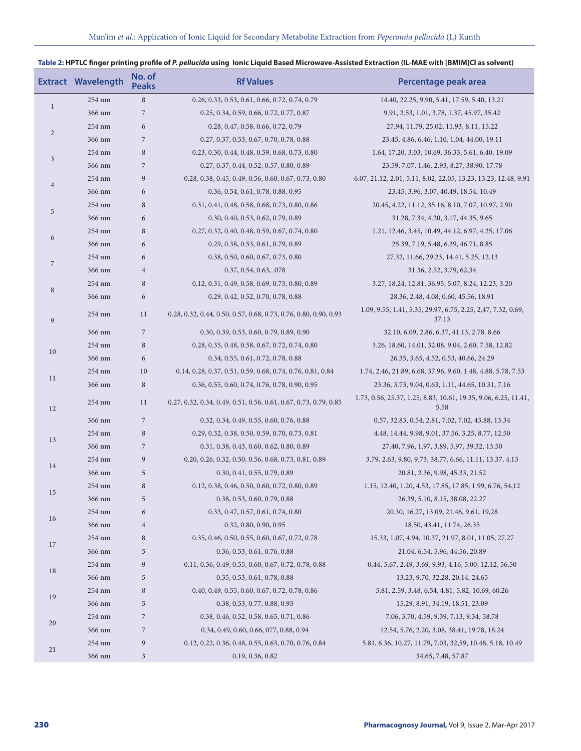# **Table 2: HPTLC finger printing profile of** *P. pellucida* **using Ionic Liquid Based Microwave-Assisted Extraction (IL-MAE with [BMIM]Cl as solvent)**

|                | <b>Extract Wavelength</b> | No. of<br><b>Peaks</b> | <b>Rf Values</b>                                                 | Percentage peak area                                                    |
|----------------|---------------------------|------------------------|------------------------------------------------------------------|-------------------------------------------------------------------------|
|                | 254 nm                    | $\,$ 8 $\,$            | 0.26, 0.33, 0.53, 0.61, 0.66, 0.72, 0.74, 0.79                   | 14.40, 22.25, 9.90, 5.41, 17.59, 5.40, 13.21                            |
| $\mathbf{1}$   | 366 nm                    | $\overline{7}$         | 0.25, 0.34, 0.59, 0.66, 0.72, 0.77, 0.87                         | 9.91, 2.53, 1.01, 3.78, 1.37, 45.97, 35.42                              |
|                | 254 nm                    | 6                      | 0.28, 0.47, 0.58, 0.66, 0.72, 0.79                               | 27.94, 11.79, 25.02, 11.93, 8.11, 15.22                                 |
| $\overline{2}$ | 366 nm                    | 7                      | 0.27, 0,37, 0.53, 0.67, 0.70, 0.78, 0.88                         | 23.45, 4.86, 6.46, 1.10, 1.04, 44.00, 19.11                             |
|                | 254 nm                    | 8                      | 0.23, 0.30, 0.44, 0.48, 0.59, 0.68, 0.73, 0.80                   | 1.64, 17.20, 3.03, 10.69, 36.33, 5.61, 6.40, 19.09                      |
| $\mathfrak{Z}$ | 366 nm                    | $\overline{7}$         | 0.27, 0.37, 0.44, 0.52, 0.57, 0.80, 0.89                         | 23.59, 7.07, 1.46, 2.93, 8.27, 38.90, 17.78                             |
| $\overline{4}$ | 254 nm                    | 9                      | 0.28, 0.38, 0.45, 0.49, 0.56, 0.60, 0.67, 0.73, 0.80             | 6.07, 21.12, 2.01, 5.11, 8.02, 22.05, 13.23, 13.23, 12.48, 9.91         |
|                | 366 nm                    | 6                      | 0.36, 0.54, 0.61, 0.78, 0.88, 0.95                               | 23.45, 3.96, 3.07, 40.49, 18.54, 10.49                                  |
|                | 254 nm                    | 8                      | 0.31, 0.41, 0.48, 0.58, 0.68, 0.73, 0.80, 0.86                   | 20.45, 4.22, 11.12, 35.16, 8.10, 7.07, 10.97, 2.90                      |
| 5              | 366 nm                    | 6                      | 0.30, 0.40, 0.53, 0.62, 0.79, 0.89                               | 31.28, 7.34, 4.20, 3.17, 44.35, 9.65                                    |
|                | 254 nm                    | 8                      | 0.27, 0.32, 0.40, 0.48, 0.59, 0.67, 0.74, 0.80                   | 1.21, 12.46, 3.45, 10.49, 44.12, 6.97, 4.25, 17.06                      |
| 6              | 366 nm                    | 6                      | 0.29, 0.38, 0.53, 0.61, 0.79, 0.89                               | 25.39, 7.19, 5.48, 6.39, 46.71, 8.85                                    |
|                | 254 nm                    | 6                      | 0.38, 0.50, 0.60, 0.67, 0.73, 0.80                               | 27.32, 11.66, 29.23, 14.41, 5.25, 12.13                                 |
| $\overline{7}$ | 366 nm                    | $\overline{4}$         | 0.37, 0.54, 0.63, .078                                           | 31.36, 2.52, 3.79, 62,34                                                |
|                | 254 nm                    | 8                      | 0.12, 0.31, 0.49, 0.58, 0.69, 0.73, 0.80, 0.89                   | 3.27, 18.24, 12.81, 36.95, 5.07, 8.24, 12.23, 3.20                      |
| $\,8\,$        | 366 nm                    | 6                      | 0.29, 0.42, 0.52, 0.70, 0.78, 0.88                               | 28.36, 2.48, 4.08, 0.60, 45.56, 18.91                                   |
| $\overline{9}$ | 254 nm                    | 11                     | 0.28, 0.32, 0.44, 0.50, 0.57, 0.68, 0.73, 0.76, 0.80, 0.90, 0.93 | 1.09, 9.55, 1.41, 5.35, 29.97, 6.75, 2.25, 2,47, 7.32, 0.69,<br>37.13   |
|                | 366 nm                    | 7                      | 0.30, 0.39, 0.53, 0.60, 0.79, 0.89, 0.90                         | 32.10, 6.09, 2.86, 6.37, 41.13, 2.78. 8.66                              |
|                | 254 nm                    | 8                      | 0.28, 0.35, 0.48, 0.58, 0.67, 0.72, 0.74, 0.80                   | 3.26, 18.60, 14.01, 32.08, 9.04, 2.60, 7.58, 12.82                      |
| 10             | 366 nm                    | 6                      | 0.34, 0.55, 0.61, 0.72, 0.78, 0.88                               | 26.35, 3.65, 4.52, 0.53, 40.66, 24.29                                   |
|                | 254 nm                    | 10                     | 0.14, 0.28, 0.37, 0.51, 0.59, 0.68, 0.74, 0.76, 0.81, 0.84       | 1.74, 2.46, 21.89, 6.68, 37.96, 9.60, 1.48, 4.88, 5.78, 7.53            |
| 11             | 366 nm                    | 8                      | 0.36, 0.55, 0.60, 0.74, 0.76, 0.78, 0.90, 0.95                   | 23.36, 3.73, 9.04, 0.63, 1.11, 44.65, 10.31, 7.16                       |
| 12             | 254 nm                    | 11                     | 0.27, 0.32, 0.34, 0.49, 0.51, 0.56, 0.61, 0.67, 0.73, 0.79, 0.85 | 1.73, 0.56, 25.37, 1.25, 8.83, 10.61, 19.35, 9.06, 6.25, 11.41,<br>5.58 |
|                | 366 nm                    | $\overline{7}$         | 0.32, 0.34, 0.49, 0.55, 0.60, 0.76, 0.88                         | 0.57, 32.83, 0.54, 2.81, 7.02, 7.02, 43.88, 13.34                       |
|                | 254 nm                    | 8                      | 0.29, 0.32, 0.38, 0.50, 0.59, 0.70, 0.73, 0.81                   | 4.48, 14.44, 9.98, 9.01, 37.56, 3.25, 8.77, 12.50                       |
| 13             | 366 nm                    | 7                      | 0.31, 0.38, 0.43, 0.60, 0.62, 0.80, 0.89                         | 27.40, 7.96, 1.97, 3.89, 5.97, 39.32, 13.50                             |
|                | 254 nm                    | 9                      | 0.20, 0.26, 0.32, 0.50, 0.56, 0.68, 0.73, 0.81, 0.89             | 3.79, 2.63, 9.80, 9.73, 38.77, 6.66, 11.11, 13.37, 4.13                 |
| 14             | 366 nm                    | 5                      | 0.30, 0.41, 0.55, 0.79, 0.89                                     | 20.81, 2.36, 9.98, 45.33, 21.52                                         |
|                | 254 nm                    | 8                      | 0.12, 0.38, 0.46, 0.50, 0.60, 0.72, 0.80, 0.89                   | 1.15, 12.40, 1.20, 4.53, 17.85, 17.85, 1.99, 6.76, 54, 12               |
| 15             | 366 nm                    | 5                      | 0.38, 0.53, 0.60, 0.79, 0.88                                     | 26.39, 5.10, 8.15, 38.08, 22.27                                         |
|                | 254 nm                    | 6                      | 0.33, 0.47, 0.57, 0.61, 0.74, 0.80                               | 20.30, 16.27, 13.09, 21.46, 9.61, 19,28                                 |
| 16             | 366 nm                    | $\overline{4}$         | 0.32, 0.80, 0.90, 0.95                                           | 18.50, 43.41, 11.74, 26.35                                              |
|                | 254 nm                    | 8                      | 0.35, 0.46, 0.50, 0.55, 0.60, 0.67, 0.72, 0.78                   | 15.33, 1.07, 4.94, 10.37, 21.97, 8.01, 11.05, 27.27                     |
| 17             | 366 nm                    | 5                      | 0.36, 0.53, 0.61, 0.76, 0.88                                     | 21.04, 6.54, 5.96, 44.56, 20.89                                         |
| 18             | 254 nm                    | 9                      | 0.11, 0.36, 0.49, 0.55, 0.60, 0.67, 0.72, 0.78, 0.88             | 0.44, 5.67, 2.49, 3.69, 9.93, 4.16, 5.00, 12.12, 56.50                  |
|                | 366 nm                    | 5                      | 0.35, 0.53, 0.61, 0.78, 0.88                                     | 13.23, 9.70, 32.28, 20.14, 24.65                                        |
|                | 254 nm                    | 8                      | 0.40, 0.49, 0.55, 0.60, 0.67, 0.72, 0.78, 0.86                   | 5.81, 2.59, 3.48, 6.54, 4.81, 5.82, 10.69, 60.26                        |
| 19             | 366 nm                    | 5                      | 0.38, 0.53, 0.77, 0.88, 0.93                                     | 15.29, 8.91, 34.19, 18.51, 23.09                                        |
|                | 254 nm                    | 7                      | 0.38, 0.46, 0.52, 0.58, 0.65, 0.71, 0.86                         | 7.06, 3.70, 4.59, 9.39, 7.13, 9.34, 58.78                               |
| 20             | 366 nm                    | 7                      | 0.34, 0.49, 0.60, 0.66, 077, 0.88, 0.94                          | 12.54, 5.76, 2.20, 3.08, 38.41, 19.78, 18.24                            |
|                | 254 nm                    | 9                      | 0.12, 0.22, 0.36, 0.48, 0.55, 0.63, 0.70, 0.76, 0.84             | 5.81, 6.36, 10.27, 11.79, 7.03, 32,59, 10.48, 5.18, 10.49               |
| 21             | 366 nm                    | 3                      | 0.19, 0.36, 0.82                                                 | 34.65, 7.48, 57.87                                                      |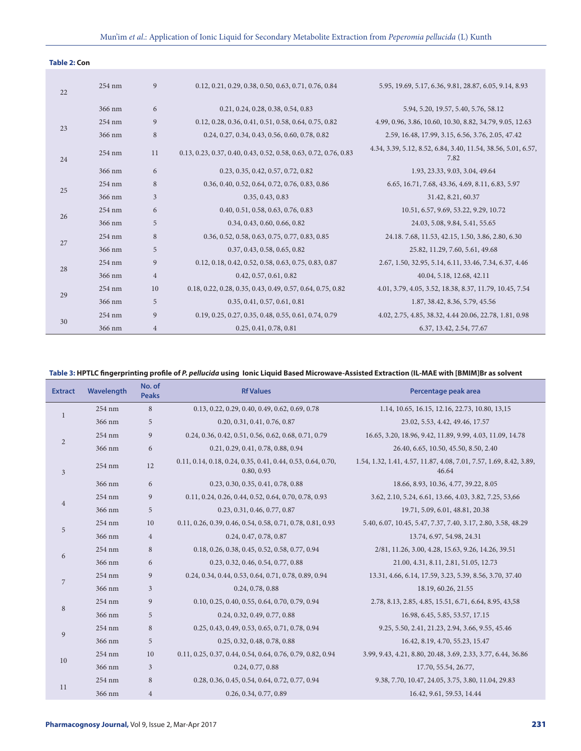| <b>Table 2: Con</b> |
|---------------------|
|---------------------|

| 22 | 254 nm | 9              | 0.12, 0.21, 0.29, 0.38, 0.50, 0.63, 0.71, 0.76, 0.84             | 5.95, 19.69, 5.17, 6.36, 9.81, 28.87, 6.05, 9.14, 8.93                |
|----|--------|----------------|------------------------------------------------------------------|-----------------------------------------------------------------------|
|    | 366 nm | 6              | 0.21, 0.24, 0.28, 0.38, 0.54, 0.83                               | 5.94, 5.20, 19.57, 5.40, 5.76, 58.12                                  |
| 23 | 254 nm | 9              | 0.12, 0.28, 0.36, 0.41, 0.51, 0.58, 0.64, 0.75, 0.82             | 4.99, 0.96, 3.86, 10.60, 10.30, 8.82, 34.79, 9.05, 12.63              |
|    | 366 nm | 8              | 0.24, 0.27, 0.34, 0.43, 0.56, 0.60, 0.78, 0.82                   | 2.59, 16.48, 17.99, 3.15, 6.56, 3.76, 2.05, 47.42                     |
| 24 | 254 nm | 11             | 0.13, 0.23, 0.37, 0.40, 0.43, 0.52, 0.58, 0.63, 0.72, 0.76, 0.83 | 4.34, 3.39, 5.12, 8.52, 6.84, 3.40, 11.54, 38.56, 5.01, 6.57,<br>7.82 |
|    | 366 nm | 6              | 0.23, 0.35, 0.42, 0.57, 0.72, 0.82                               | 1.93, 23.33, 9.03, 3.04, 49.64                                        |
|    | 254 nm | 8              | 0.36, 0.40, 0.52, 0.64, 0.72, 0.76, 0.83, 0.86                   | 6.65, 16.71, 7.68, 43.36, 4.69, 8.11, 6.83, 5.97                      |
| 25 | 366 nm | 3              | 0.35, 0.43, 0.83                                                 | 31.42, 8.21, 60.37                                                    |
| 26 | 254 nm | 6              | 0.40, 0.51, 0.58, 0.63, 0.76, 0.83                               | 10.51, 6.57, 9.69, 53.22, 9.29, 10.72                                 |
|    | 366 nm | 5              | 0.34, 0.43, 0.60, 0.66, 0.82                                     | 24.03, 5.08, 9.84, 5.41, 55.65                                        |
| 27 | 254 nm | 8              | 0.36, 0.52, 0.58, 0.63, 0.75, 0.77, 0.83, 0.85                   | 24.18.7.68, 11.53, 42.15, 1.50, 3.86, 2.80, 6.30                      |
|    | 366 nm | 5              | 0.37, 0.43, 0.58, 0.65, 0.82                                     | 25.82, 11.29, 7.60, 5.61, 49.68                                       |
| 28 | 254 nm | 9              | 0.12, 0.18, 0.42, 0.52, 0.58, 0.63, 0.75, 0.83, 0.87             | 2.67, 1.50, 32.95, 5.14, 6.11, 33.46, 7.34, 6.37, 4.46                |
|    | 366 nm | $\overline{4}$ | 0.42, 0.57, 0.61, 0.82                                           | 40.04, 5.18, 12.68, 42.11                                             |
| 29 | 254 nm | 10             | 0.18, 0.22, 0.28, 0.35, 0.43, 0.49, 0.57, 0.64, 0.75, 0.82       | 4.01, 3.79, 4.05, 3.52, 18.38, 8.37, 11.79, 10.45, 7.54               |
|    | 366 nm | 5              | 0.35, 0.41, 0.57, 0.61, 0.81                                     | 1.87, 38.42, 8.36, 5.79, 45.56                                        |
| 30 | 254 nm | 9              | 0.19, 0.25, 0.27, 0.35, 0.48, 0.55, 0.61, 0.74, 0.79             | 4.02, 2.75, 4.85, 38.32, 4.44 20.06, 22.78, 1.81, 0.98                |
|    | 366 nm | $\overline{4}$ | 0.25, 0.41, 0.78, 0.81                                           | 6.37, 13.42, 2.54, 77.67                                              |

### **Table 3: HPTLC fingerprinting profile of** *P. pellucida* **using Ionic Liquid Based Microwave-Assisted Extraction (IL-MAE with [BMIM]Br as solvent**

| <b>Extract</b> | Wavelength | No. of<br><b>Peaks</b> | <b>Rf Values</b>                                                          | Percentage peak area                                                        |
|----------------|------------|------------------------|---------------------------------------------------------------------------|-----------------------------------------------------------------------------|
| $\mathbf{1}$   | 254 nm     | 8                      | 0.13, 0.22, 0.29, 0.40, 0.49, 0.62, 0.69, 0.78                            | 1.14, 10.65, 16.15, 12.16, 22.73, 10.80, 13,15                              |
|                | 366 nm     | 5                      | 0.20, 0.31, 0.41, 0.76, 0.87                                              | 23.02, 5.53, 4.42, 49.46, 17.57                                             |
| $\overline{2}$ | 254 nm     | 9                      | 0.24, 0.36, 0.42, 0.51, 0.56, 0.62, 0.68, 0.71, 0.79                      | 16.65, 3.20, 18.96, 9.42, 11.89, 9.99, 4.03, 11.09, 14.78                   |
|                | 366 nm     | 6                      | 0.21, 0.29, 0.41, 0.78, 0.88, 0.94                                        | 26.40, 6.65, 10.50, 45.50, 8.50, 2.40                                       |
| $\overline{3}$ | 254 nm     | 12                     | 0.11, 0.14, 0.18, 0.24, 0.35, 0.41, 0.44, 0.53, 0.64, 0.70,<br>0.80, 0.93 | 1.54, 1.32, 1.41, 4.57, 11.87, 4.08, 7.01, 7.57, 1.69, 8.42, 3.89,<br>46.64 |
|                | 366 nm     | 6                      | 0.23, 0.30, 0.35, 0.41, 0.78, 0.88                                        | 18.66, 8.93, 10.36, 4.77, 39.22, 8.05                                       |
| $\overline{4}$ | 254 nm     | 9                      | 0.11, 0.24, 0.26, 0.44, 0.52, 0.64, 0.70, 0.78, 0.93                      | 3.62, 2.10, 5.24, 6.61, 13.66, 4.03, 3.82, 7.25, 53,66                      |
|                | 366 nm     | 5                      | 0.23, 0.31, 0.46, 0.77, 0.87                                              | 19.71, 5.09, 6.01, 48.81, 20.38                                             |
|                | 254 nm     | 10                     | 0.11, 0.26, 0.39, 0.46, 0.54, 0.58, 0.71, 0.78, 0.81, 0.93                | 5.40, 6.07, 10.45, 5.47, 7.37, 7.40, 3.17, 2.80, 3.58, 48.29                |
| 5              | 366 nm     | $\overline{4}$         | 0.24, 0.47, 0.78, 0.87                                                    | 13.74, 6.97, 54.98, 24.31                                                   |
|                | 254 nm     | 8                      | 0.18, 0.26, 0.38, 0.45, 0.52, 0.58, 0.77, 0.94                            | 2/81, 11.26, 3.00, 4.28, 15.63, 9.26, 14.26, 39.51                          |
| 6              | 366 nm     | 6                      | 0.23, 0.32, 0.46, 0.54, 0.77, 0.88                                        | 21.00, 4.31, 8.11, 2.81, 51.05, 12.73                                       |
| $\sqrt{2}$     | 254 nm     | 9                      | 0.24, 0.34, 0.44, 0.53, 0.64, 0.71, 0.78, 0.89, 0.94                      | 13.31, 4.66, 6.14, 17.59, 3.23, 5.39, 8.56, 3.70, 37.40                     |
|                | 366 nm     | $\overline{3}$         | 0.24, 0.78, 0.88                                                          | 18.19, 60.26, 21.55                                                         |
|                | 254 nm     | 9                      | 0.10, 0.25, 0.40, 0.55, 0.64, 0.70, 0.79, 0.94                            | 2.78, 8.13, 2.85, 4.85, 15.51, 6.71, 6.64, 8.95, 43,58                      |
| 8              | 366 nm     | 5                      | 0.24, 0.32, 0.49, 0.77, 0.88                                              | 16.98, 6.45, 5.85, 53.57, 17.15                                             |
| 9              | 254 nm     | 8                      | 0.25, 0.43, 0.49, 0.53, 0.65, 0.71, 0.78, 0.94                            | 9.25, 5.50, 2.41, 21.23, 2.94, 3.66, 9.55, 45.46                            |
|                | 366 nm     | 5                      | 0.25, 0.32, 0.48, 0.78, 0.88                                              | 16.42, 8.19, 4.70, 55.23, 15.47                                             |
| 10             | 254 nm     | 10                     | 0.11, 0.25, 0.37, 0.44, 0.54, 0.64, 0.76, 0.79, 0.82, 0.94                | 3.99, 9.43, 4.21, 8.80, 20.48, 3.69, 2.33, 3.77, 6.44, 36.86                |
|                | 366 nm     | 3                      | 0.24, 0.77, 0.88                                                          | 17.70, 55.54, 26.77,                                                        |
| 11             | 254 nm     | 8                      | 0.28, 0.36, 0.45, 0.54, 0.64, 0.72, 0.77, 0.94                            | 9.38, 7.70, 10.47, 24.05, 3.75, 3.80, 11.04, 29.83                          |
|                | 366 nm     | $\,4\,$                | 0.26, 0.34, 0.77, 0.89                                                    | 16.42, 9.61, 59.53, 14.44                                                   |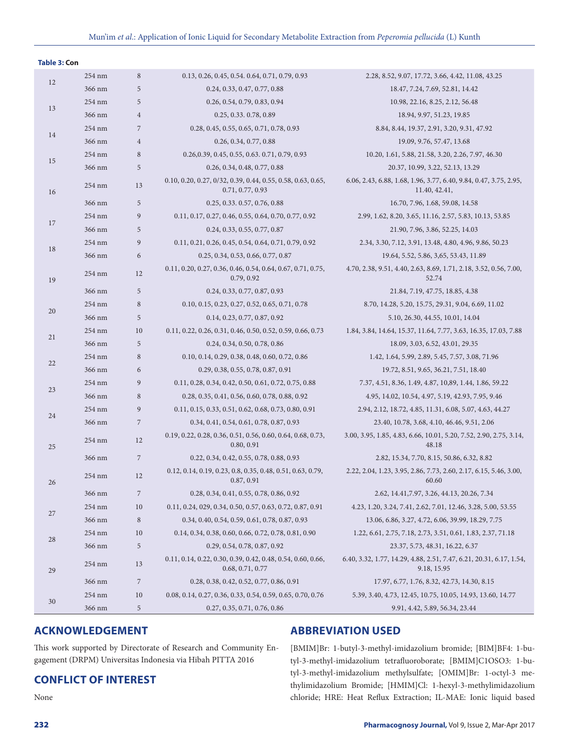| <b>Table 3: Con</b> |        |                  |                                                                                 |                                                                                    |
|---------------------|--------|------------------|---------------------------------------------------------------------------------|------------------------------------------------------------------------------------|
| 12                  | 254 nm | $\,8\,$          | 0.13, 0.26, 0.45, 0.54. 0.64, 0.71, 0.79, 0.93                                  | 2.28, 8.52, 9.07, 17.72, 3.66, 4.42, 11.08, 43.25                                  |
|                     | 366 nm | 5                | 0.24, 0.33, 0.47, 0.77, 0.88                                                    | 18.47, 7.24, 7.69, 52.81, 14.42                                                    |
| 13                  | 254 nm | $\mathbf 5$      | 0.26, 0.54, 0.79, 0.83, 0.94                                                    | 10.98, 22.16, 8.25, 2.12, 56.48                                                    |
|                     | 366 nm | $\sqrt{4}$       | 0.25, 0.33, 0.78, 0.89                                                          | 18.94, 9.97, 51.23, 19.85                                                          |
| 14                  | 254 nm | $\overline{7}$   | 0.28, 0.45, 0.55, 0.65, 0.71, 0.78, 0.93                                        | 8.84, 8.44, 19.37, 2.91, 3.20, 9.31, 47.92                                         |
|                     | 366 nm | $\sqrt{4}$       | 0.26, 0.34, 0.77, 0.88                                                          | 19.09, 9.76, 57.47, 13.68                                                          |
| 15                  | 254 nm | $\,$ 8 $\,$      | 0.26, 0.39, 0.45, 0.55, 0.63. 0.71, 0.79, 0.93                                  | 10.20, 1.61, 5.88, 21.58, 3.20, 2.26, 7.97, 46.30                                  |
|                     | 366 nm | $\mathbf 5$      | 0.26, 0.34, 0.48, 0.77, 0.88                                                    | 20.37, 10.99, 3.22, 52.13, 13.29                                                   |
| 16                  | 254 nm | 13               | 0.10, 0.20, 0.27, 0/32, 0.39, 0.44, 0.55, 0.58, 0.63, 0.65,<br>0.71, 0.77, 0.93 | 6.06, 2.43, 6.88, 1.68, 1.96, 3.77, 6.40, 9.84, 0.47, 3.75, 2.95,<br>11.40, 42.41, |
|                     | 366 nm | $\sqrt{5}$       | 0.25, 0.33, 0.57, 0.76, 0.88                                                    | 16.70, 7.96, 1.68, 59.08, 14.58                                                    |
|                     | 254 nm | $\boldsymbol{9}$ | 0.11, 0.17, 0.27, 0.46, 0.55, 0.64, 0.70, 0.77, 0.92                            | 2.99, 1.62, 8.20, 3.65, 11.16, 2.57, 5.83, 10.13, 53.85                            |
| 17                  | 366 nm | 5                | 0.24, 0.33, 0.55, 0.77, 0.87                                                    | 21.90, 7.96, 3.86, 52.25, 14.03                                                    |
|                     | 254 nm | $\overline{9}$   | 0.11, 0.21, 0.26, 0.45, 0.54, 0.64, 0.71, 0.79, 0.92                            | 2.34, 3.30, 7.12, 3.91, 13.48, 4.80, 4.96, 9.86, 50.23                             |
| 18                  | 366 nm | $\sqrt{6}$       | 0.25, 0.34, 0.53, 0.66, 0.77, 0.87                                              | 19.64, 5.52, 5.86, 3,65, 53.43, 11.89                                              |
| 19                  | 254 nm | 12               | 0.11, 0.20, 0.27, 0.36, 0.46, 0.54, 0.64, 0.67, 0.71, 0.75,<br>0.79, 0.92       | 4.70, 2.38, 9.51, 4.40, 2.63, 8.69, 1.71, 2.18, 3.52, 0.56, 7.00,<br>52.74         |
|                     | 366 nm | $\mathbf 5$      | 0.24, 0.33, 0.77, 0.87, 0.93                                                    | 21.84, 7.19, 47.75, 18.85, 4.38                                                    |
|                     | 254 nm | $\,$ 8 $\,$      | 0.10, 0.15, 0.23, 0.27, 0.52, 0.65, 0.71, 0.78                                  | 8.70, 14.28, 5.20, 15.75, 29.31, 9.04, 6.69, 11.02                                 |
| 20                  | 366 nm | $\mathbf 5$      | 0.14, 0.23, 0.77, 0.87, 0.92                                                    | 5.10, 26.30, 44.55, 10.01, 14.04                                                   |
|                     | 254 nm | 10               | 0.11, 0.22, 0.26, 0.31, 0.46, 0.50, 0.52, 0.59, 0.66, 0.73                      | 1.84, 3.84, 14.64, 15.37, 11.64, 7.77, 3.63, 16.35, 17.03, 7.88                    |
| 21                  | 366 nm | $\mathbf 5$      | 0.24, 0.34, 0.50, 0.78, 0.86                                                    | 18.09, 3.03, 6.52, 43.01, 29.35                                                    |
|                     | 254 nm | $\,$ 8 $\,$      | 0.10, 0.14, 0.29, 0.38, 0.48, 0.60, 0.72, 0.86                                  | 1.42, 1.64, 5.99, 2.89, 5.45, 7.57, 3.08, 71.96                                    |
| 22                  | 366 nm | 6                | 0.29, 0.38, 0.55, 0.78, 0.87, 0.91                                              | 19.72, 8.51, 9.65, 36.21, 7.51, 18.40                                              |
| 23                  | 254 nm | $\overline{9}$   | 0.11, 0.28, 0.34, 0.42, 0.50, 0.61, 0.72, 0.75, 0.88                            | 7.37, 4.51, 8.36, 1.49, 4.87, 10,89, 1.44, 1.86, 59.22                             |
|                     | 366 nm | $\,$ 8 $\,$      | 0.28, 0.35, 0.41, 0.56, 0.60, 0.78, 0.88, 0.92                                  | 4.95, 14.02, 10.54, 4.97, 5.19, 42.93, 7.95, 9.46                                  |
| 24                  | 254 nm | $\boldsymbol{9}$ | 0.11, 0.15, 0.33, 0.51, 0.62, 0.68, 0.73, 0.80, 0.91                            | 2.94, 2.12, 18.72, 4.85, 11.31, 6.08, 5.07, 4.63, 44.27                            |
|                     | 366 nm | $\sqrt{ }$       | 0.34, 0.41, 0.54, 0.61, 0.78, 0.87, 0.93                                        | 23.40, 10.78, 3.68, 4.10, 46.46, 9.51, 2.06                                        |
| 25                  | 254 nm | 12               | 0.19, 0.22, 0.28, 0.36, 0.51, 0.56, 0.60, 0.64, 0.68, 0.73,<br>0.80, 0.91       | 3.00, 3.95, 1.85, 4.83, 6.66, 10.01, 5.20, 7.52, 2.90, 2.75, 3.14,<br>48.18        |
|                     | 366 nm | $\sqrt{2}$       | 0.22, 0.34, 0.42, 0.55, 0.78, 0.88, 0.93                                        | 2.82, 15.34, 7.70, 8.15, 50.86, 6.32, 8.82                                         |
| 26                  | 254 nm | 12               | 0.12, 0.14, 0.19, 0.23, 0.8, 0.35, 0.48, 0.51, 0.63, 0.79,<br>0.87, 0.91        | 2.22, 2.04, 1.23, 3.95, 2.86, 7.73, 2.60, 2.17, 6.15, 5.46, 3.00,<br>60.60         |
|                     | 366 nm | $\sqrt{2}$       | 0.28, 0.34, 0.41, 0.55, 0.78, 0.86, 0.92                                        | 2.62, 14.41, 7.97, 3.26, 44.13, 20.26, 7.34                                        |
|                     | 254 nm | 10               | 0.11, 0.24, 029, 0.34, 0.50, 0.57, 0.63, 0.72, 0.87, 0.91                       | 4.23, 1.20, 3.24, 7.41, 2.62, 7.01, 12.46, 3.28, 5.00, 53.55                       |
| 27                  | 366 nm | $\,$ 8 $\,$      | 0.34, 0.40, 0.54, 0.59, 0.61, 0.78, 0.87, 0.93                                  | 13.06, 6.86, 3.27, 4.72, 6.06, 39.99, 18.29, 7.75                                  |
| 28                  | 254 nm | 10               | 0.14, 0.34, 0.38, 0.60, 0.66, 0.72, 0.78, 0.81, 0.90                            | 1.22, 6.61, 2.75, 7.18, 2.73, 3.51, 0.61, 1.83, 2.37, 71.18                        |
|                     | 366 nm | $\sqrt{5}$       | 0.29, 0.54, 0.78, 0.87, 0.92                                                    | 23.37, 5.73, 48.31, 16.22, 6.37                                                    |
| 29                  | 254 nm | 13               | 0.11, 0.14, 0.22, 0.30, 0.39, 0.42, 0.48, 0.54, 0.60, 0.66,<br>0.68, 0.71, 0.77 | 6.40, 3.32, 1.77, 14.29, 4.88, 2.51, 7.47, 6.21, 20.31, 6.17, 1.54,<br>9.18, 15.95 |
|                     | 366 nm | $\sqrt{2}$       | 0.28, 0.38, 0.42, 0.52, 0.77, 0.86, 0.91                                        | 17.97, 6.77, 1.76, 8.32, 42.73, 14.30, 8.15                                        |
| 30                  | 254 nm | 10               | 0.08, 0.14, 0.27, 0.36, 0.33, 0.54, 0.59, 0.65, 0.70, 0.76                      | 5.39, 3.40, 4.73, 12.45, 10.75, 10.05, 14.93, 13.60, 14.77                         |
|                     | 366 nm | $\sqrt{5}$       | 0.27, 0.35, 0.71, 0.76, 0.86                                                    | 9.91, 4.42, 5.89, 56.34, 23.44                                                     |

# **ACKNOWLEDGEMENT**

This work supported by Directorate of Research and Community Engagement (DRPM) Universitas Indonesia via Hibah PITTA 2016

# **CONFLICT OF INTEREST**

None

# **ABBREVIATION USED**

[BMIM]Br: 1-butyl-3-methyl-imidazolium bromide; [BIM]BF4: 1-butyl-3-methyl-imidazolium tetrafluoroborate; [BMIM]C1OSO3: 1-butyl-3-methyl-imidazolium methylsulfate; [OMIM]Br: 1-octyl-3 methylimidazolium Bromide; [HMIM]Cl: 1-hexyl-3-methylimidazolium chloride; HRE: Heat Reflux Extraction; IL-MAE: Ionic liquid based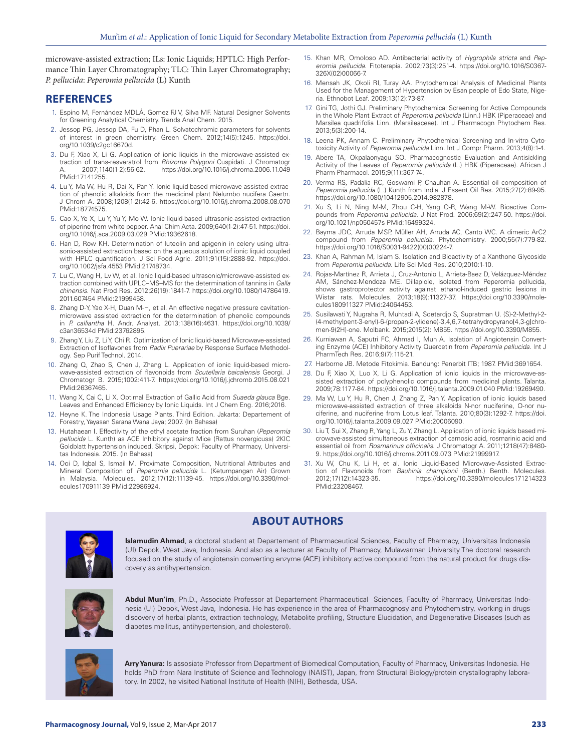microwave-assisted extraction; ILs: Ionic Liquids; HPTLC: High Performance Thin Layer Chromatography; TLC: Thin Layer Chromatography; *P. pellucida*: *Peperomia pellucida* (L) Kunth

# **REFERENCES**

- 1. Espino M, Fernández MDLÁ, Gomez FJ V, Silva MF. Natural Designer Solvents for Greening Analytical Chemistry. Trends Anal Chem. 2015.
- Jessop PG, Jessop DA, Fu D, Phan L. Solvatochromic parameters for solvents of interest in green chemistry. Green Chem. 2012;14(5):1245. https://doi. org/10.1039/c2gc16670d.
- 3. Du F, Xiao X, Li G. Application of ionic liquids in the microwave-assisted extraction of trans-resveratrol from *Rhizoma Polygoni* Cuspidati. J Chromatogr https://doi.org/10.1016/j.chroma.2006.11.049 PMid:17141255.
- 4. Lu Y, Ma W, Hu R, Dai X, Pan Y. Ionic liquid-based microwave-assisted extraction of phenolic alkaloids from the medicinal plant Nelumbo nucifera Gaertn. J Chrom A. 2008;1208(1-2):42-6. https://doi.org/10.1016/j.chroma.2008.08.070 PMid:18774575.
- 5. Cao X, Ye X, Lu Y, Yu Y, Mo W. Ionic liquid-based ultrasonic-assisted extraction of piperine from white pepper. Anal Chim Acta. 2009;640(1-2):47-51. https://doi. org/10.1016/j.aca.2009.03.029 PMid:19362618.
- 6. Han D, Row KH. Determination of luteolin and apigenin in celery using ultrasonic-assisted extraction based on the aqueous solution of ionic liquid coupled with HPLC quantification. J Sci Food Agric. 2011;91(15):2888-92. https://doi. org/10.1002/jsfa.4553 PMid:21748734.
- 7. Lu C, Wang H, Lv W, et al. Ionic liquid-based ultrasonic/microwave-assisted extraction combined with UPLC–MS–MS for the determination of tannins in *Galla chinensis*. Nat Prod Res. 2012;26(19):1841-7. https://doi.org/10.1080/14786419. 2011.607454 PMid:21999458.
- 8. Zhang D-Y, Yao X-H, Duan M-H, et al. An effective negative pressure cavitationmicrowave assisted extraction for the determination of phenolic compounds in *P. calliantha* H. Andr. Analyst. 2013;138(16):4631. https://doi.org/10.1039/ c3an36534d PMid:23762895.
- 9. Zhang Y, Liu Z, Li Y, Chi R. Optimization of Ionic liquid-based Microwave-assisted Extraction of Isoflavones from *Radix Puerariae* by Response Surface Methodology. Sep Purif Technol. 2014.
- 10. Zhang Q, Zhao S, Chen J, Zhang L. Application of ionic liquid-based microwave-assisted extraction of flavonoids from *Scutellaria baicalensis* Georgi. J Chromatogr B. 2015;1002:411-7. https://doi.org/10.1016/j.jchromb.2015.08.021 PMid:26367465.
- 11. Wang X, Cai C, Li X. Optimal Extraction of Gallic Acid from *Suaeda glauca* Bge. Leaves and Enhanced Efficiency by Ionic Liquids. Int J Chem Eng. 2016;2016.
- 12. Heyne K. The Indonesia Usage Plants. Third Edition. Jakarta: Departement of Forestry, Yayasan Sarana Wana Jaya; 2007. (In Bahasa)
- 13. Hutahaean I. Effectivity of the ethyl acetate fraction from Suruhan (*Peperomia pellucida* L. Kunth) as ACE Inhibitory against Mice (Rattus novergicuss) 2KIC Goldblatt hypertension induced. Skripsi, Depok: Faculty of Pharmacy, Universitas Indonesia. 2015. (In Bahasa)
- 14. Ooi D, Iqbal S, Ismail M. Proximate Composition, Nutritional Attributes and Mineral Composition of *Peperomia pellucida* L. (Ketumpangan Air) Grown in Malaysia. Molecules. 2012;17(12):11139-45. https://doi.org/10.3390/molecules170911139 PMid:22986924.
- 15. Khan MR, Omoloso AD. Antibacterial activity of *Hygrophila stricta* and *Peperomia pellucida*. Fitoterapia. 2002;73(3):251-4. https://doi.org/10.1016/S0367- 326X(02)00066-7.
- 16. Mensah JK, Okoli RI, Turay AA. Phytochemical Analysis of Medicinal Plants Used for the Management of Hypertension by Esan people of Edo State, Nigeria. Ethnobot Leaf. 2009;13(12):73-87.
- 17. Gini TG, Jothi GJ. Preliminary Phytochemical Screening for Active Compounds in the Whole Plant Extract of *Peperomia pellucida* (Linn.) HBK (Piperaceae) and Marsilea quadrifolia Linn. (Marsileaceae). Int J Pharmacogn Phytochem Res. 2013;5(3):200-14.
- 18. Leena PK, Annam C. Preliminary Phytochemical Screening and In-vitro Cytotoxicity Activity of *Peperomia pellucida* Linn. Int J Compr Pharm. 2013;4(8):1-4.
- 19. Abere TA, Okpalaonyagu SO. Pharmacognostic Evaluation and Antisickling Activity of the Leaves of *Peperomia pellucida* (L.) HBK (Piperaceae). African J Pharm Pharmacol. 2015;9(11):367-74.
- 20. Verma RS, Padalia RC, Goswami P, Chauhan A. Essential oil composition of *Peperomia pellucida* (L.) Kunth from India. J Essent Oil Res. 2015;27(2):89-95. https://doi.org/10.1080/10412905.2014.982878.
- 21. Xu S, Li N, Ning M-M, Zhou C-H, Yang Q-R, Wang M-W. Bioactive Compounds from *Peperomia pellucida*. J Nat Prod. 2006;69(2):247-50. https://doi. org/10.1021/np050457s PMid:16499324.
- 22. Bayma JDC, Arruda MSP, Müller AH, Arruda AC, Canto WC. A dimeric ArC2 compound from *Peperomia pellucida*. Phytochemistry. 2000;55(7):779-82. https://doi.org/10.1016/S0031-9422(00)00224-7.
- 23. Khan A, Rahman M, Islam S. Isolation and Bioactivity of a Xanthone Glycoside from *Peperomia pellucida*. Life Sci Med Res. 2010;2010:1-10.
- 24. Rojas-Martínez R, Arrieta J, Cruz-Antonio L, Arrieta-Baez D, Velázquez-Méndez AM, Sánchez-Mendoza ME. Dillapiole, isolated from Peperomia pellucida, shows gastroprotector activity against ethanol-induced gastric lesions in Wistar rats. Molecules. 2013;18(9):11327-37. https://doi.org/10.3390/molecules180911327 PMid:24064453.
- 25. Susilawati Y, Nugraha R, Muhtadi A, Soetardjo S, Supratman U. (S)-2-Methyl-2- (4-methylpent-3-enyl)-6-(propan-2-ylidene)-3,4,6,7-tetrahydropyrano[4,3-g]chromen-9(2H)-one. Molbank. 2015;2015(2): M855. https://doi.org/10.3390/M855.
- 26. Kurniawan A, Saputri FC, Ahmad I, Mun A. Isolation of Angiotensin Converting Enzyme (ACE) Inhibitory Activity Quercetin from *Peperomia pellucida*. Int J PharmTech Res. 2016;9(7):115-21.
- 27. Harborne JB. Metode Fitokimia. Bandung: Penerbit ITB; 1987. PMid:3691654.
- 28. Du F, Xiao X, Luo X, Li G. Application of ionic liquids in the microwave-assisted extraction of polyphenolic compounds from medicinal plants. Talanta. 2009;78:1177-84. https://doi.org/10.1016/j.talanta.2009.01.040 PMid:19269490.
- 29. Ma W, Lu Y, Hu R, Chen J, Zhang Z, Pan Y. Application of ionic liquids based microwave-assisted extraction of three alkaloids N-nor nuciferine, O-nor nuciferine, and nuciferine from Lotus leaf. Talanta. 2010;80(3):1292-7. https://doi. org/10.1016/j.talanta.2009.09.027 PMid:20006090.
- 30. Liu T, Sui X, Zhang R, Yang L, Zu Y, Zhang L. Application of ionic liquids based microwave-assisted simultaneous extraction of carnosic acid, rosmarinic acid and essential oil from *Rosmarinus officinalis*. J Chromatogr A. 2011;1218(47):8480- 9. https://doi.org/10.1016/j.chroma.2011.09.073 PMid:21999917.
- 31. Xu W, Chu K, Li H, et al. Ionic Liquid-Based Microwave-Assisted Extraction of Flavonoids from *Bauhinia championii* (Benth.) Benth. Molecules.<br>2012;17(12):14323-35. https://doi.org/10.3390/molecules171214323 2012;17(12):14323-35. https://doi.org/10.3390/molecules171214323 PMid:23208467.



**Islamudin Ahmad**, a doctoral student at Departement of Pharmaceutical Sciences, Faculty of Pharmacy, Universitas Indonesia (UI) Depok, West Java, Indonesia. And also as a lecturer at Faculty of Pharmacy, Mulawarman University The doctoral research focused on the study of angiotensin converting enzyme (ACE) inhibitory active compound from the natural product for drugs discovery as antihypertension.

**ABOUT AUTHORS**



**Abdul Mun'im**, Ph.D., Associate Professor at Departement Pharmaceutical Sciences, Faculty of Pharmacy, Universitas Indonesia (UI) Depok, West Java, Indonesia. He has experience in the area of Pharmacognosy and Phytochemistry, working in drugs discovery of herbal plants, extraction technology, Metabolite profiling, Structure Elucidation, and Degenerative Diseases (such as diabetes mellitus, antihypertension, and cholesterol).



**Arry Yanura:** Is assosiate Professor from Department of Biomedical Computation, Faculty of Pharmacy, Universitas Indonesia. He holds PhD from Nara Institute of Science and Technology (NAIST), Japan, from Structural Biology/protein crystallography laboratory. In 2002, he visited National Institute of Health (NIH), Bethesda, USA.